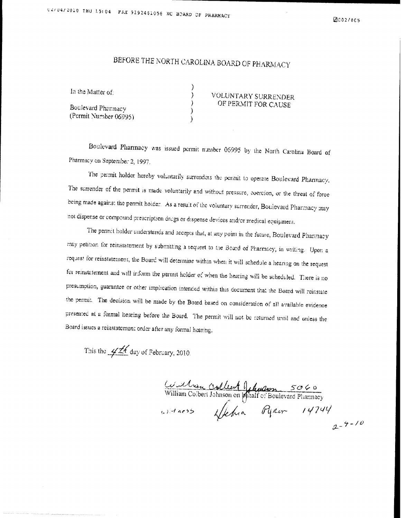## BEFORE THE NORTH CAROLINA BOARD OF PHARMACY

| In the Matter of:                           |  | VOLUNTARY SURRENDER<br>OF PERMIT FOR CAUSE |
|---------------------------------------------|--|--------------------------------------------|
| Boulevard Pharmacy<br>(Permit Number 06995) |  |                                            |
|                                             |  |                                            |

Boulevard Pharmacy was issued permit number 06995 by the North Carolina Board of Pharmacy on September 2, 1997.

The permit holder hereby voluntarily surrenders the permit to operate Boulevard Pharmacy, The surrender of the permit is made voluntarily and without pressure, coercion, or the threat of force being made against the permit holder. As a result of the voluntary surrender, Boulevard Pharmacy may not dispense or compound prescription drugs or dispense devices and/or medical equipment.

The permit holder understands and accepts that, at any point in the future, Boulevard Pharmacy may petition for reinstatement by submitting a request to the Board of Pharmacy, in writing. Upon a request for reinstatement, the Board will determine within when it will schedule a hearing on the request for reinstatement and will inform the permit holder of when the hearing will be scheduled. There is no presumption, guarantee or other implication intended within this document that the Board will reinstate the permit. The decision will be made by the Board based on consideration of all available evidence presented at a formal hearing before the Board. The permit will not be returned until and onless the Board issues a reinstatement order after any formal hearing.

This the  $4\frac{1}{4}$  day of February, 2010.

William Color Johnson on phair or Boulevard Pharmacy<br>William Color Johnson on phair or Boulevard Pharmacy<br>with acss fecture Ryear 14744